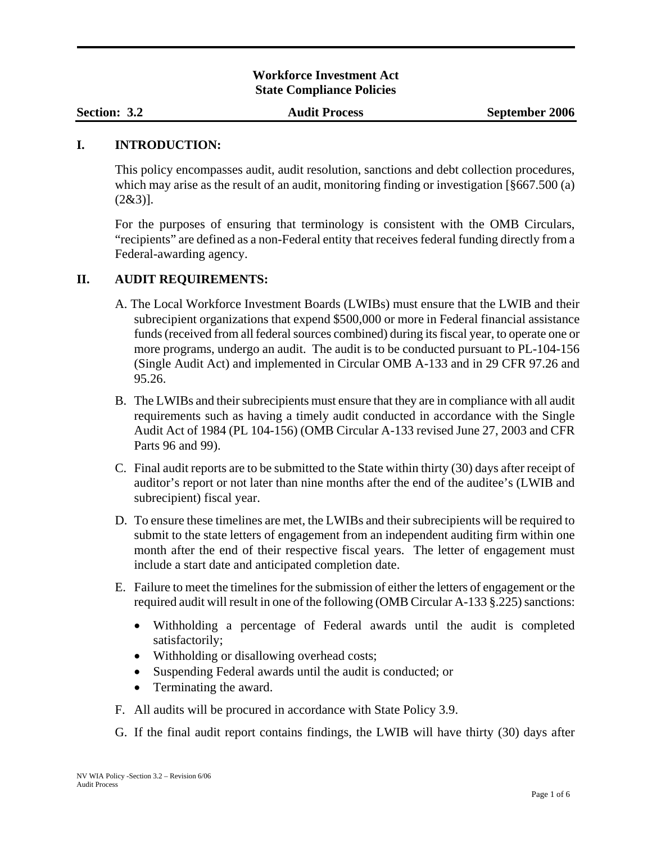## **Workforce Investment Act State Compliance Policies**

#### **I. INTRODUCTION:**

This policy encompasses audit, audit resolution, sanctions and debt collection procedures, which may arise as the result of an audit, monitoring finding or investigation [§667.500 (a)  $(2&3)$ ].

For the purposes of ensuring that terminology is consistent with the OMB Circulars, "recipients" are defined as a non-Federal entity that receives federal funding directly from a Federal-awarding agency.

### **II. AUDIT REQUIREMENTS:**

- A. The Local Workforce Investment Boards (LWIBs) must ensure that the LWIB and their subrecipient organizations that expend \$500,000 or more in Federal financial assistance funds (received from all federal sources combined) during its fiscal year, to operate one or more programs, undergo an audit. The audit is to be conducted pursuant to PL-104-156 (Single Audit Act) and implemented in Circular OMB A-133 and in 29 CFR 97.26 and 95.26.
- B. The LWIBs and their subrecipients must ensure that they are in compliance with all audit requirements such as having a timely audit conducted in accordance with the Single Audit Act of 1984 (PL 104-156) (OMB Circular A-133 revised June 27, 2003 and CFR Parts 96 and 99).
- C. Final audit reports are to be submitted to the State within thirty (30) days after receipt of auditor's report or not later than nine months after the end of the auditee's (LWIB and subrecipient) fiscal year.
- D. To ensure these timelines are met, the LWIBs and their subrecipients will be required to submit to the state letters of engagement from an independent auditing firm within one month after the end of their respective fiscal years. The letter of engagement must include a start date and anticipated completion date.
- E. Failure to meet the timelines for the submission of either the letters of engagement or the required audit will result in one of the following (OMB Circular A-133 §.225) sanctions:
	- Withholding a percentage of Federal awards until the audit is completed satisfactorily;
	- Withholding or disallowing overhead costs;
	- Suspending Federal awards until the audit is conducted; or
	- Terminating the award.
- F. All audits will be procured in accordance with State Policy 3.9.
- G. If the final audit report contains findings, the LWIB will have thirty (30) days after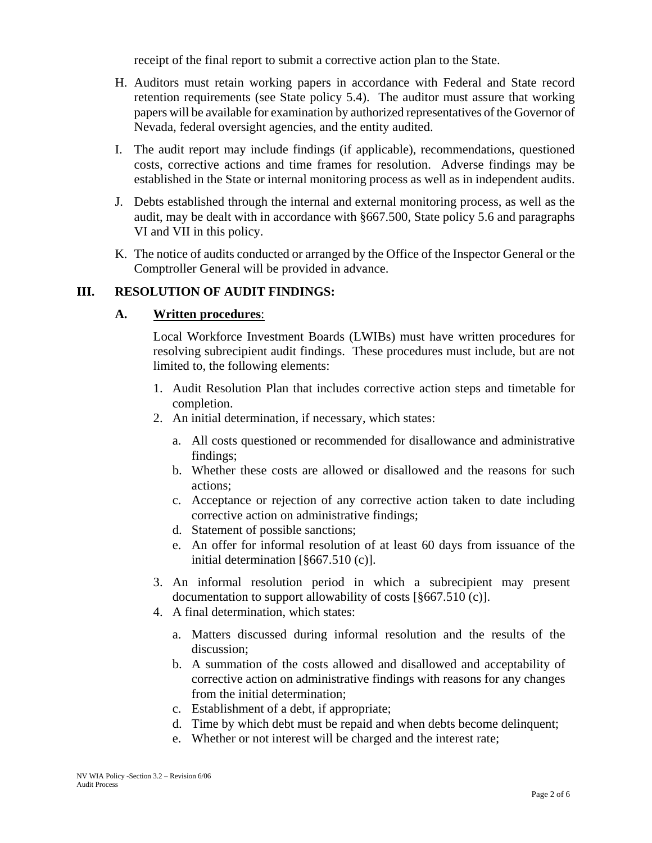receipt of the final report to submit a corrective action plan to the State.

- H. Auditors must retain working papers in accordance with Federal and State record retention requirements (see State policy 5.4). The auditor must assure that working papers will be available for examination by authorized representatives of the Governor of Nevada, federal oversight agencies, and the entity audited.
- I. The audit report may include findings (if applicable), recommendations, questioned costs, corrective actions and time frames for resolution. Adverse findings may be established in the State or internal monitoring process as well as in independent audits.
- J. Debts established through the internal and external monitoring process, as well as the audit, may be dealt with in accordance with §667.500, State policy 5.6 and paragraphs VI and VII in this policy.
- K. The notice of audits conducted or arranged by the Office of the Inspector General or the Comptroller General will be provided in advance.

# **III. RESOLUTION OF AUDIT FINDINGS:**

## **A. Written procedures**:

Local Workforce Investment Boards (LWIBs) must have written procedures for resolving subrecipient audit findings. These procedures must include, but are not limited to, the following elements:

- 1. Audit Resolution Plan that includes corrective action steps and timetable for completion.
- 2. An initial determination, if necessary, which states:
	- a. All costs questioned or recommended for disallowance and administrative findings;
	- b. Whether these costs are allowed or disallowed and the reasons for such actions;
	- c. Acceptance or rejection of any corrective action taken to date including corrective action on administrative findings;
	- d. Statement of possible sanctions;
	- e. An offer for informal resolution of at least 60 days from issuance of the initial determination [§667.510 (c)].
- 3. An informal resolution period in which a subrecipient may present documentation to support allowability of costs [§667.510 (c)].
- 4. A final determination, which states:
	- a. Matters discussed during informal resolution and the results of the discussion;
	- b. A summation of the costs allowed and disallowed and acceptability of corrective action on administrative findings with reasons for any changes from the initial determination;
	- c. Establishment of a debt, if appropriate;
	- d. Time by which debt must be repaid and when debts become delinquent;
	- e. Whether or not interest will be charged and the interest rate;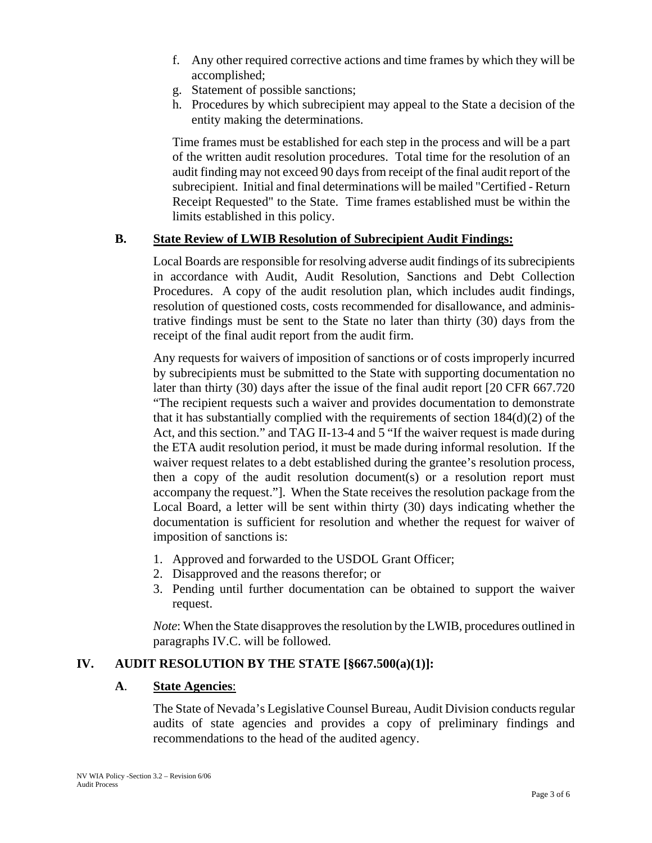- f. Any other required corrective actions and time frames by which they will be accomplished;
- g. Statement of possible sanctions;
- h. Procedures by which subrecipient may appeal to the State a decision of the entity making the determinations.

Time frames must be established for each step in the process and will be a part of the written audit resolution procedures. Total time for the resolution of an audit finding may not exceed 90 days from receipt of the final audit report of the subrecipient. Initial and final determinations will be mailed "Certified - Return Receipt Requested" to the State. Time frames established must be within the limits established in this policy.

## **B. State Review of LWIB Resolution of Subrecipient Audit Findings:**

Local Boards are responsible for resolving adverse audit findings of its subrecipients in accordance with Audit, Audit Resolution, Sanctions and Debt Collection Procedures. A copy of the audit resolution plan, which includes audit findings, resolution of questioned costs, costs recommended for disallowance, and administrative findings must be sent to the State no later than thirty (30) days from the receipt of the final audit report from the audit firm.

Any requests for waivers of imposition of sanctions or of costs improperly incurred by subrecipients must be submitted to the State with supporting documentation no later than thirty (30) days after the issue of the final audit report [20 CFR 667.720 "The recipient requests such a waiver and provides documentation to demonstrate that it has substantially complied with the requirements of section  $184(d)(2)$  of the Act, and this section." and TAG II-13-4 and 5 "If the waiver request is made during the ETA audit resolution period, it must be made during informal resolution. If the waiver request relates to a debt established during the grantee's resolution process, then a copy of the audit resolution document(s) or a resolution report must accompany the request."]. When the State receives the resolution package from the Local Board, a letter will be sent within thirty (30) days indicating whether the documentation is sufficient for resolution and whether the request for waiver of imposition of sanctions is:

- 1. Approved and forwarded to the USDOL Grant Officer;
- 2. Disapproved and the reasons therefor; or
- 3. Pending until further documentation can be obtained to support the waiver request.

*Note*: When the State disapproves the resolution by the LWIB, procedures outlined in paragraphs IV.C. will be followed.

# **IV. AUDIT RESOLUTION BY THE STATE [§667.500(a)(1)]:**

### **A**. **State Agencies**:

The State of Nevada's Legislative Counsel Bureau, Audit Division conducts regular audits of state agencies and provides a copy of preliminary findings and recommendations to the head of the audited agency.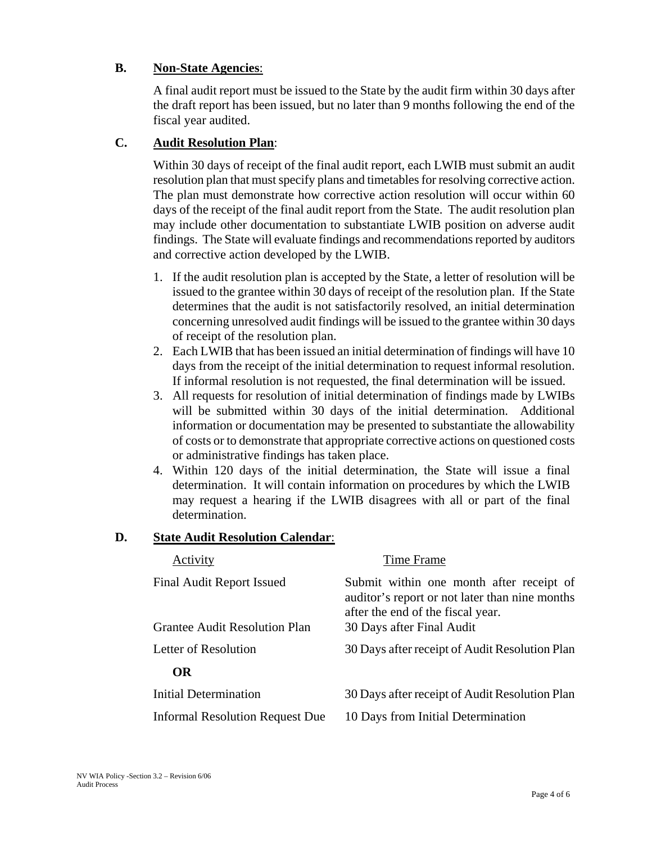## **B. Non-State Agencies**:

A final audit report must be issued to the State by the audit firm within 30 days after the draft report has been issued, but no later than 9 months following the end of the fiscal year audited.

# **C. Audit Resolution Plan**:

Within 30 days of receipt of the final audit report, each LWIB must submit an audit resolution plan that must specify plans and timetables for resolving corrective action. The plan must demonstrate how corrective action resolution will occur within 60 days of the receipt of the final audit report from the State. The audit resolution plan may include other documentation to substantiate LWIB position on adverse audit findings. The State will evaluate findings and recommendations reported by auditors and corrective action developed by the LWIB.

- 1. If the audit resolution plan is accepted by the State, a letter of resolution will be issued to the grantee within 30 days of receipt of the resolution plan. If the State determines that the audit is not satisfactorily resolved, an initial determination concerning unresolved audit findings will be issued to the grantee within 30 days of receipt of the resolution plan.
- 2. Each LWIB that has been issued an initial determination of findings will have 10 days from the receipt of the initial determination to request informal resolution. If informal resolution is not requested, the final determination will be issued.
- 3. All requests for resolution of initial determination of findings made by LWIBs will be submitted within 30 days of the initial determination. Additional information or documentation may be presented to substantiate the allowability of costs or to demonstrate that appropriate corrective actions on questioned costs or administrative findings has taken place.
- 4. Within 120 days of the initial determination, the State will issue a final determination. It will contain information on procedures by which the LWIB may request a hearing if the LWIB disagrees with all or part of the final determination.

# **D. State Audit Resolution Calendar**:

| Activity                             | Time Frame                                                                                                                      |
|--------------------------------------|---------------------------------------------------------------------------------------------------------------------------------|
| Final Audit Report Issued            | Submit within one month after receipt of<br>auditor's report or not later than nine months<br>after the end of the fiscal year. |
| <b>Grantee Audit Resolution Plan</b> | 30 Days after Final Audit                                                                                                       |
| Letter of Resolution                 | 30 Days after receipt of Audit Resolution Plan                                                                                  |
| <b>OR</b>                            |                                                                                                                                 |
| Initial Determination                | 30 Days after receipt of Audit Resolution Plan                                                                                  |
| Informal Resolution Request Due      | 10 Days from Initial Determination                                                                                              |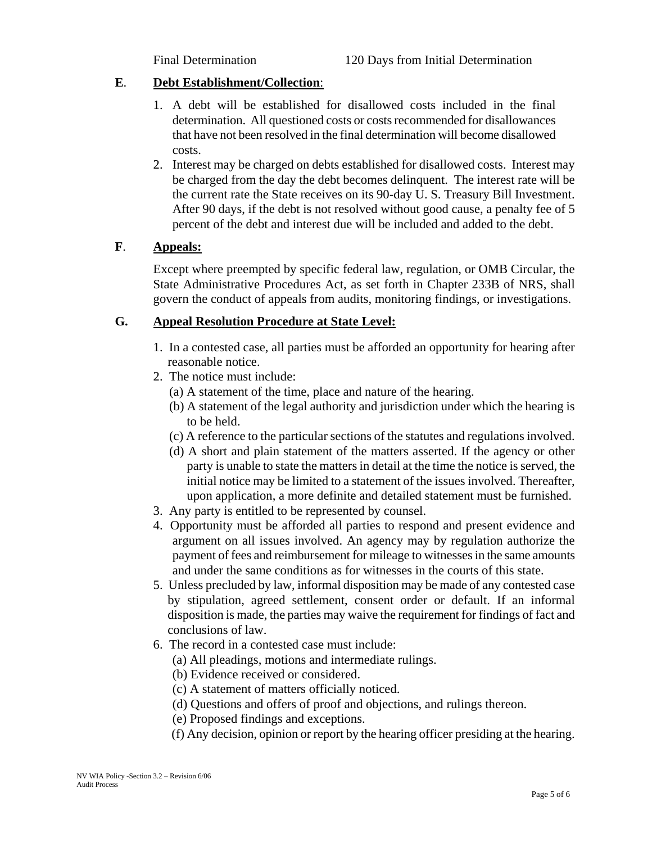### **E**. **Debt Establishment/Collection**:

- 1. A debt will be established for disallowed costs included in the final determination. All questioned costs or costs recommended for disallowances that have not been resolved in the final determination will become disallowed costs.
- 2. Interest may be charged on debts established for disallowed costs. Interest may be charged from the day the debt becomes delinquent. The interest rate will be the current rate the State receives on its 90-day U. S. Treasury Bill Investment. After 90 days, if the debt is not resolved without good cause, a penalty fee of 5 percent of the debt and interest due will be included and added to the debt.

### **F**. **Appeals:**

Except where preempted by specific federal law, regulation, or OMB Circular, the State Administrative Procedures Act, as set forth in Chapter 233B of NRS, shall govern the conduct of appeals from audits, monitoring findings, or investigations.

## **G. Appeal Resolution Procedure at State Level:**

- 1. In a contested case, all parties must be afforded an opportunity for hearing after reasonable notice.
- 2. The notice must include:
	- (a) A statement of the time, place and nature of the hearing.
	- (b) A statement of the legal authority and jurisdiction under which the hearing is to be held.
	- (c) A reference to the particular sections of the statutes and regulations involved.
	- (d) A short and plain statement of the matters asserted. If the agency or other party is unable to state the matters in detail at the time the notice is served, the initial notice may be limited to a statement of the issues involved. Thereafter, upon application, a more definite and detailed statement must be furnished.
- 3. Any party is entitled to be represented by counsel.
- 4. Opportunity must be afforded all parties to respond and present evidence and argument on all issues involved. An agency may by regulation authorize the payment of fees and reimbursement for mileage to witnesses in the same amounts and under the same conditions as for witnesses in the courts of this state.
- 5. Unless precluded by law, informal disposition may be made of any contested case by stipulation, agreed settlement, consent order or default. If an informal disposition is made, the parties may waive the requirement for findings of fact and conclusions of law.
- 6. The record in a contested case must include:
	- (a) All pleadings, motions and intermediate rulings.
	- (b) Evidence received or considered.
	- (c) A statement of matters officially noticed.
	- (d) Questions and offers of proof and objections, and rulings thereon.
	- (e) Proposed findings and exceptions.
	- (f) Any decision, opinion or report by the hearing officer presiding at the hearing.